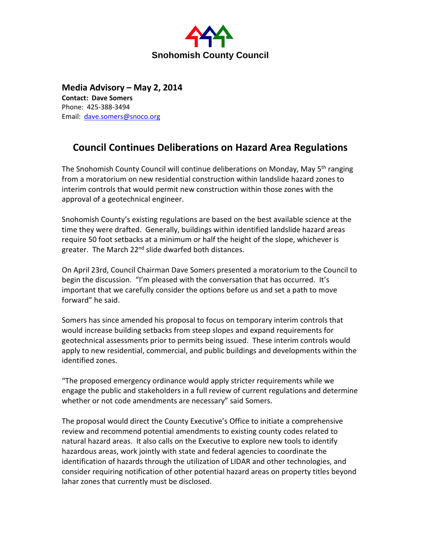

**Media Advisory – May 2, 2014 Contact: Dave Somers** Phone: 425-388-3494 Email: [dave.somers@snoco.org](mailto:dave.somers@snoco.org)

## **Council Continues Deliberations on Hazard Area Regulations**

The Snohomish County Council will continue deliberations on Monday, May 5<sup>th</sup> ranging from a moratorium on new residential construction within landslide hazard zones to interim controls that would permit new construction within those zones with the approval of a geotechnical engineer.

Snohomish County's existing regulations are based on the best available science at the time they were drafted. Generally, buildings within identified landslide hazard areas require 50 foot setbacks at a minimum or half the height of the slope, whichever is greater. The March 22<sup>nd</sup> slide dwarfed both distances.

On April 23rd, Council Chairman Dave Somers presented a moratorium to the Council to begin the discussion. "I'm pleased with the conversation that has occurred. It's important that we carefully consider the options before us and set a path to move forward" he said.

Somers has since amended his proposal to focus on temporary interim controls that would increase building setbacks from steep slopes and expand requirements for geotechnical assessments prior to permits being issued. These interim controls would apply to new residential, commercial, and public buildings and developments within the identified zones.

"The proposed emergency ordinance would apply stricter requirements while we engage the public and stakeholders in a full review of current regulations and determine whether or not code amendments are necessary" said Somers.

The proposal would direct the County Executive's Office to initiate a comprehensive review and recommend potential amendments to existing county codes related to natural hazard areas. It also calls on the Executive to explore new tools to identify hazardous areas, work jointly with state and federal agencies to coordinate the identification of hazards through the utilization of LIDAR and other technologies, and consider requiring notification of other potential hazard areas on property titles beyond lahar zones that currently must be disclosed.